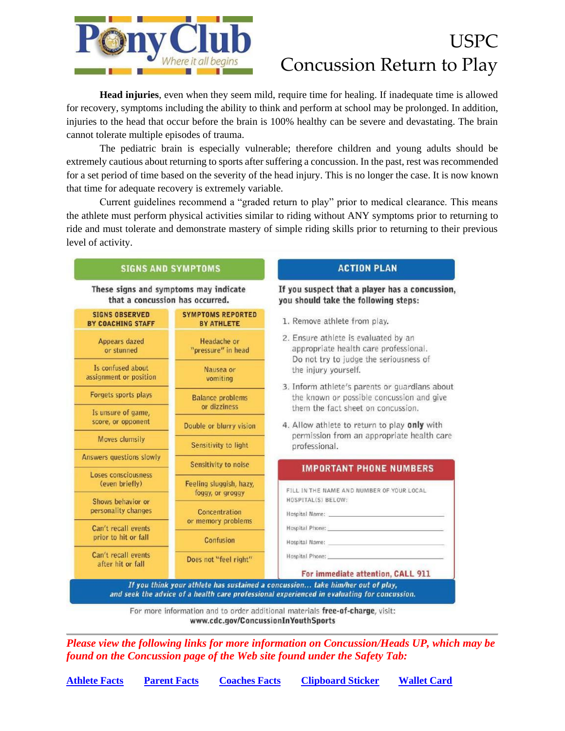

**SIGNS AND SYMPTOMS** 

## USPC Concussion Return to Play

**Head injuries**, even when they seem mild, require time for healing. If inadequate time is allowed for recovery, symptoms including the ability to think and perform at school may be prolonged. In addition, injuries to the head that occur before the brain is 100% healthy can be severe and devastating. The brain cannot tolerate multiple episodes of trauma.

The pediatric brain is especially vulnerable; therefore children and young adults should be extremely cautious about returning to sports after suffering a concussion. In the past, rest was recommended for a set period of time based on the severity of the head injury. This is no longer the case. It is now known that time for adequate recovery is extremely variable.

Current guidelines recommend a "graded return to play" prior to medical clearance. This means the athlete must perform physical activities similar to riding without ANY symptoms prior to returning to ride and must tolerate and demonstrate mastery of simple riding skills prior to returning to their previous level of activity.

| <b>SIGNS OBSERVED</b><br><b>BY COACHING STAFF</b> | <b>SYMPTOMS REPORTED</b><br><b>BY ATHLETE</b> | 1. Remove athle                                                                       |  |
|---------------------------------------------------|-----------------------------------------------|---------------------------------------------------------------------------------------|--|
| Appears dazed<br>or stunned                       | Headache or<br>"pressure" in head             | 2. Ensure athle<br>appropriate I<br>Do not try to                                     |  |
| Is confused about<br>assignment or position       | Nausea or<br>vomiting                         | the injury yo<br>3. Inform athlet<br>the known or<br>them the fac<br>4. Allow athlete |  |
| Forgets sports plays                              | <b>Balance problems</b><br>or dizziness       |                                                                                       |  |
| Is unsure of game,<br>score, or opponent          | Double or blurry vision                       |                                                                                       |  |
| <b>Moves clumsily</b>                             | Sensitivity to light                          | permission fr<br>professional.                                                        |  |
| Answers questions slowly                          | Sensitivity to noise                          | <b>IMPORTA</b>                                                                        |  |
| <b>Loses consciousness</b><br>(even briefly)      | Feeling sluggish, hazy,<br>foggy, or groggy   | FILL IN THE NAME                                                                      |  |
| Shows behavior or<br>personality changes          | Concentration                                 | HOSPITAL(S) BELO<br>Hospital Name:<br>Hospital Phone:<br>Hospital Name:               |  |
| Can't recall events<br>prior to hit or fall       | or memory problems<br>Confusion               |                                                                                       |  |
| Can't recall events<br>after hit or fall          | Does not "feel right"                         | Hospital Phone:                                                                       |  |

### **ACTION PLAN**

that a player has a concussion, the following steps:

- ete from play.
- te is evaluated by an health care professional. judge the seriousness of urself.
- te's parents or guardians about possible concussion and give t sheet on concussion.
- e to return to play only with om an appropriate health care

| FILL IN THE NAME AND NUMBER OF YOUR LOCAL                                                                                                                                                                                      |
|--------------------------------------------------------------------------------------------------------------------------------------------------------------------------------------------------------------------------------|
| HOSPITAL(S) BELOW:                                                                                                                                                                                                             |
| Hospital Name: Name: Name: Name: Name: Name: Name: Name: Name: Name: Name: Name: Name: Name: Name: N                                                                                                                           |
| Hospital Phone: North Science of the Science of the Science of the Science of the Science of the Science of the Science of the Science of the Science of the Science of the Science of the Science of the Science of the Scien |
| Hospital Name:                                                                                                                                                                                                                 |
| Hospital Phone: North States and States and States and States and States and States and States and States and States and States and States and States and States and States and States and States and States and States and St |
| For immediate attention, CALL 911                                                                                                                                                                                              |

of-charge, visit: www.cdc.gov/ConcussionInYouthSports

*Please view the following links for more information on Concussion/Heads UP, which may be found on the Concussion page of the Web site found under the Safety Tab:*

**[Athlete](https://www.ponyclub.org/ContentDocs/Volunteers/Safety/Training-HeadAthletesFactSheet.pdf) Facts [Parent](https://www.ponyclub.org/ContentDocs/Volunteers/Safety/Training-HeadParentsFactSheet.pdf) Facts [Coaches](https://www.ponyclub.org/ContentDocs/Volunteers/Safety/Training-HeadCoachesFactSheet.pdf) Facts [Clipboard](https://www.ponyclub.org/ContentDocs/Volunteers/Safety/Training-HeadClipboardActionPlan.pdf) Sticker [Wallet](https://www.ponyclub.org/ContentDocs/Volunteers/Safety/Training-HeadWalletCard.pdf) Card**